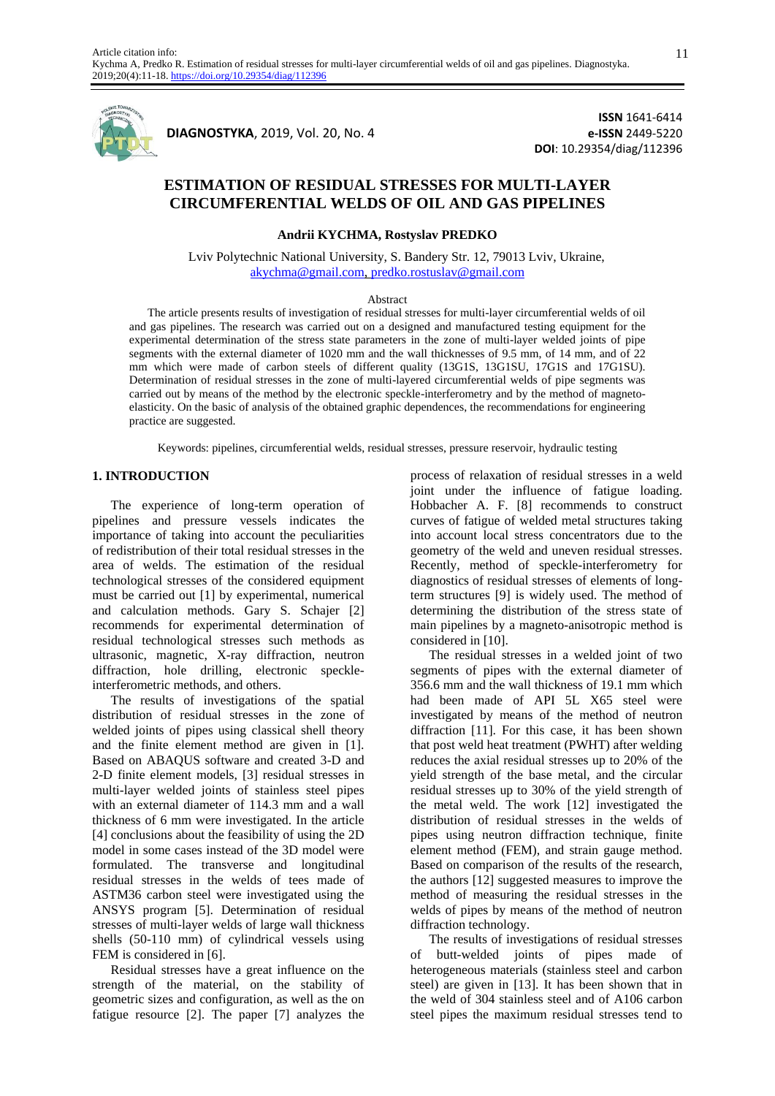

**DIAGNOSTYKA**, 2019, Vol. 20, No. 4

**ISSN** 1641-6414 **e-ISSN** 2449-5220 **DOI**: 10.29354/diag/112396

# **ESTIMATION OF RESIDUAL STRESSES FOR MULTI-LAYER CIRCUMFERENTIAL WELDS OF OIL AND GAS PIPELINES**

**Andrii KYCHMA, Rostyslav PREDKO**

Lviv Polytechnic National University, S. Bandery Str. 12, 79013 Lviv, Ukraine, [akychma@gmail.com,](mailto:akychma@gmail.com) [predko.rostuslav@gmail.com](mailto:predko.rostuslav@gmail.com)

### Abstract

The article presents results of investigation of residual stresses for multi-layer circumferential welds of oil and gas pipelines. The research was carried out on a designed and manufactured testing equipment for the experimental determination of the stress state parameters in the zone of multi-layer welded joints of pipe segments with the external diameter of 1020 mm and the wall thicknesses of 9.5 mm, of 14 mm, and of 22 mm which were made of carbon steels of different quality (13G1S, 13G1SU, 17G1S and 17G1SU). Determination of residual stresses in the zone of multi-layered circumferential welds of pipe segments was carried out by means of the method by the electronic speckle-interferometry and by the method of magnetoelasticity. On the basic of analysis of the obtained graphic dependences, the recommendations for engineering practice are suggested.

Keywords: pipelines, circumferential welds, residual stresses, pressure reservoir, hydraulic testing

### **1. INTRODUCTION**

The experience of long-term operation of pipelines and pressure vessels indicates the importance of taking into account the peculiarities of redistribution of their total residual stresses in the area of welds. The estimation of the residual technological stresses of the considered equipment must be carried out [1] by experimental, numerical and calculation methods. Gary S. Schajer [2] recommends for experimental determination of residual technological stresses such methods as ultrasonic, magnetic, X-ray diffraction, neutron diffraction, hole drilling, electronic speckleinterferometric methods, and others.

The results of investigations of the spatial distribution of residual stresses in the zone of welded joints of pipes using classical shell theory and the finite element method are given in [1]. Based on ABAQUS software and created 3-D and 2-D finite element models, [3] residual stresses in multi-layer welded joints of stainless steel pipes with an external diameter of 114.3 mm and a wall thickness of 6 mm were investigated. In the article [4] conclusions about the feasibility of using the 2D model in some cases instead of the 3D model were formulated. The transverse and longitudinal residual stresses in the welds of tees made of ASTM36 carbon steel were investigated using the ANSYS program [5]. Determination of residual stresses of multi-layer welds of large wall thickness shells (50-110 mm) of cylindrical vessels using FEM is considered in [6].

Residual stresses have a great influence on the strength of the material, on the stability of geometric sizes and configuration, as well as the on fatigue resource [2]. The paper [7] analyzes the

process of relaxation of residual stresses in a weld joint under the influence of fatigue loading. Hobbacher A. F. [8] recommends to construct curves of fatigue of welded metal structures taking into account local stress concentrators due to the geometry of the weld and uneven residual stresses. Recently, method of speckle-interferometry for diagnostics of residual stresses of elements of longterm structures [9] is widely used. The method of determining the distribution of the stress state of main pipelines by a magneto-anisotropic method is considered in [10].

The residual stresses in a welded joint of two segments of pipes with the external diameter of 356.6 mm and the wall thickness of 19.1 mm which had been made of API 5L X65 steel were investigated by means of the method of neutron diffraction [11]. For this case, it has been shown that post weld heat treatment (PWHT) after welding reduces the axial residual stresses up to 20% of the yield strength of the base metal, and the circular residual stresses up to 30% of the yield strength of the metal weld. The work [12] investigated the distribution of residual stresses in the welds of pipes using neutron diffraction technique, finite element method (FEM), and strain gauge method. Based on comparison of the results of the research, the authors [12] suggested measures to improve the method of measuring the residual stresses in the welds of pipes by means of the method of neutron diffraction technology.

The results of investigations of residual stresses of butt-welded joints of pipes made of heterogeneous materials (stainless steel and carbon steel) are given in [13]. It has been shown that in the weld of 304 stainless steel and of A106 carbon steel pipes the maximum residual stresses tend to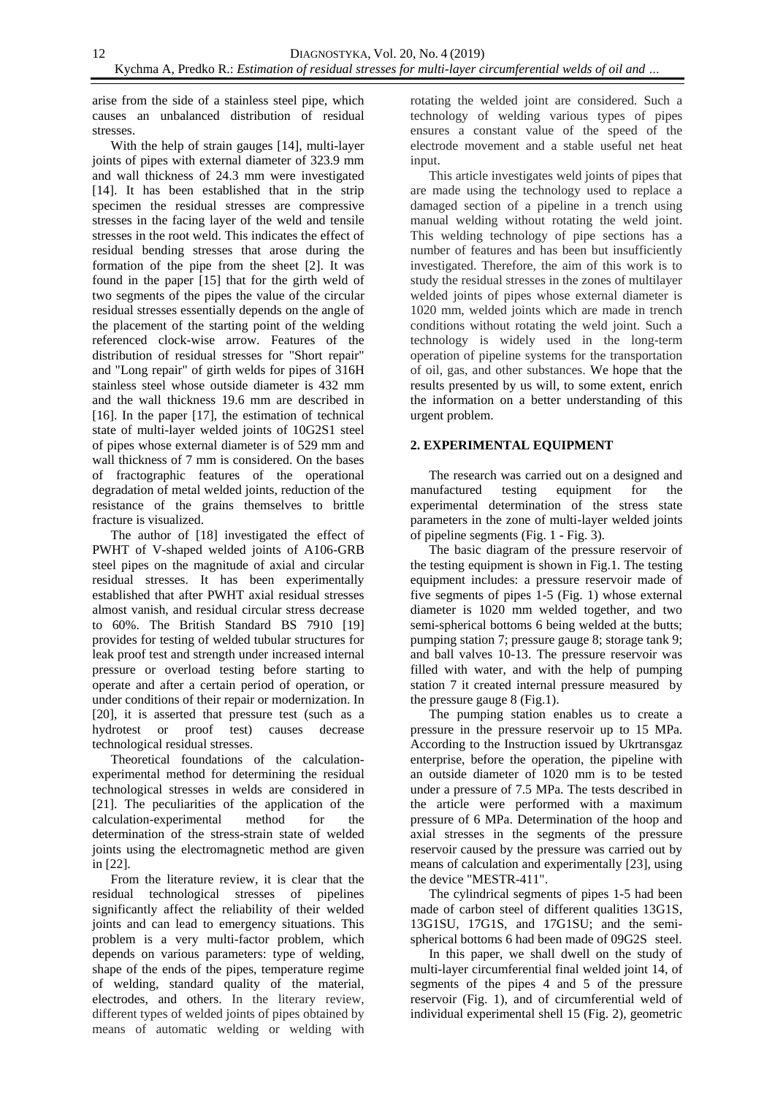arise from the side of a stainless steel pipe, which causes an unbalanced distribution of residual stresses.

With the help of strain gauges [14], multi-layer joints of pipes with external diameter of 323.9 mm and wall thickness of 24.3 mm were investigated [14]. It has been established that in the strip specimen the residual stresses are compressive stresses in the facing layer of the weld and tensile stresses in the root weld. This indicates the effect of residual bending stresses that arose during the formation of the pipe from the sheet [2]. It was found in the paper [15] that for the girth weld of two segments of the pipes the value of the circular residual stresses essentially depends on the angle of the placement of the starting point of the welding referenced clock-wise arrow. Features of the distribution of residual stresses for "Short repair" and "Long repair" of girth welds for pipes of 316H stainless steel whose outside diameter is 432 mm and the wall thickness 19.6 mm are described in [16]. In the paper [17], the estimation of technical state of multi-layer welded joints of 10G2S1 steel of pipes whose external diameter is of 529 mm and wall thickness of 7 mm is considered. On the bases of fractographic features of the operational degradation of metal welded joints, reduction of the resistance of the grains themselves to brittle fracture is visualized.

The author of [18] investigated the effect of PWHT of V-shaped welded joints of A106-GRB steel pipes on the magnitude of axial and circular residual stresses. It has been experimentally established that after PWHT axial residual stresses almost vanish, and residual circular stress decrease to 60%. The British Standard BS 7910 [19] provides for testing of welded tubular structures for leak proof test and strength under increased internal pressure or overload testing before starting to operate and after a certain period of operation, or under conditions of their repair or modernization. In [20], it is asserted that pressure test (such as a hydrotest or proof test) causes decrease technological residual stresses.

Theoretical foundations of the calculationexperimental method for determining the residual technological stresses in welds are considered in [21]. The peculiarities of the application of the calculation-experimental method for the determination of the stress-strain state of welded joints using the electromagnetic method are given in [22].

From the literature review, it is clear that the residual technological stresses of pipelines significantly affect the reliability of their welded joints and can lead to emergency situations. This problem is a very multi-factor problem, which depends on various parameters: type of welding, shape of the ends of the pipes, temperature regime of welding, standard quality of the material, electrodes, and others. In the literary review, different types of welded joints of pipes obtained by means of automatic welding or welding with

rotating the welded joint are considered. Such a technology of welding various types of pipes ensures a constant value of the speed of the electrode movement and a stable useful net heat input.

This article investigates weld joints of pipes that are made using the technology used to replace a damaged section of a pipeline in a trench using manual welding without rotating the weld joint. This welding technology of pipe sections has a number of features and has been but insufficiently investigated. Therefore, the aim of this work is to study the residual stresses in the zones of multilayer welded joints of pipes whose external diameter is 1020 mm, welded joints which are made in trench conditions without rotating the weld joint. Such a technology is widely used in the long-term operation of pipeline systems for the transportation of oil, gas, and other substances. We hope that the results presented by us will, to some extent, enrich the information on a better understanding of this urgent problem.

## **2. EXPERIMENTAL EQUIPMENT**

The research was carried out on a designed and manufactured testing equipment for the experimental determination of the stress state parameters in the zone of multi-layer welded joints of pipeline segments (Fig. 1 - Fig. 3).

The basic diagram of the pressure reservoir of the testing equipment is shown in Fig.1. The testing equipment includes: a pressure reservoir made of five segments of pipes 1-5 (Fig. 1) whose external diameter is 1020 mm welded together, and two semi-spherical bottoms 6 being welded at the butts; pumping station 7; pressure gauge 8; storage tank 9; and ball valves 10-13. The pressure reservoir was filled with water, and with the help of pumping station 7 it created internal pressure measured by the pressure gauge 8 (Fig.1).

The pumping station enables us to create a pressure in the pressure reservoir up to 15 MPa. According to the Instruction issued by Ukrtransgaz enterprise, before the operation, the pipeline with an outside diameter of 1020 mm is to be tested under a pressure of 7.5 MPa. The tests described in the article were performed with a maximum pressure of 6 MPa. Determination of the hoop and axial stresses in the segments of the pressure reservoir caused by the pressure was carried out by means of calculation and experimentally [23], using the device "MESTR-411".

The cylindrical segments of pipes 1-5 had been made of carbon steel of different qualities 13G1S, 13G1SU, 17G1S, and 17G1SU; and the semispherical bottoms 6 had been made of 09G2S steel.

In this paper, we shall dwell on the study of multi-layer circumferential final welded joint 14, of segments of the pipes 4 and 5 of the pressure reservoir (Fig. 1), and of circumferential weld of individual experimental shell 15 (Fig. 2), geometric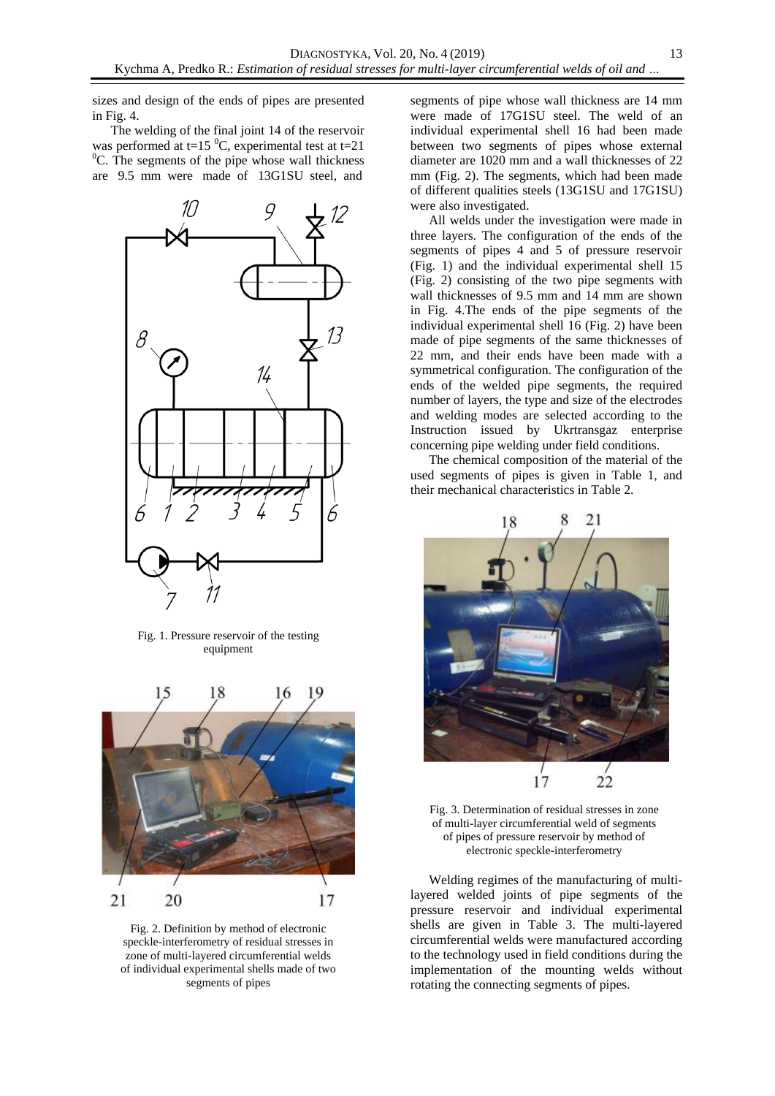sizes and design of the ends of pipes are presented in Fig. 4.

The welding of the final joint 14 of the reservoir was performed at t=15  $^{\circ}$ C, experimental test at t=21  $\rm{^{0}C}$ . The segments of the pipe whose wall thickness are 9.5 mm were made of 13G1SU steel, and



Fig. 1. Pressure reservoir of the testing equipment



Fig. 2. Definition by method of electronic speckle-interferometry of residual stresses in zone of multi-layered circumferential welds of individual experimental shells made of two segments of pipes

segments of pipe whose wall thickness are 14 mm were made of 17G1SU steel. The weld of an individual experimental shell 16 had been made between two segments of pipes whose external diameter are 1020 mm and a wall thicknesses of 22 mm (Fig. 2). The segments, which had been made of different qualities steels (13G1SU and 17G1SU) were also investigated.

All welds under the investigation were made in three layers. The configuration of the ends of the segments of pipes 4 and 5 of pressure reservoir (Fig. 1) and the individual experimental shell 15 (Fig. 2) consisting of the two pipe segments with wall thicknesses of 9.5 mm and 14 mm are shown in Fig. 4.The ends of the pipe segments of the individual experimental shell 16 (Fig. 2) have been made of pipe segments of the same thicknesses of 22 mm, and their ends have been made with a symmetrical configuration. The configuration of the ends of the welded pipe segments, the required number of layers, the type and size of the electrodes and welding modes are selected according to the Instruction issued by Ukrtransgaz enterprise concerning pipe welding under field conditions.

The chemical composition of the material of the used segments of pipes is given in Table 1, and their mechanical characteristics in Table 2.



Fig. 3. Determination of residual stresses in zone of multi-layer circumferential weld of segments of pipes of pressure reservoir by method of electronic speckle-interferometry

Welding regimes of the manufacturing of multilayered welded joints of pipe segments of the pressure reservoir and individual experimental shells are given in Table 3. The multi-layered circumferential welds were manufactured according to the technology used in field conditions during the implementation of the mounting welds without rotating the connecting segments of pipes.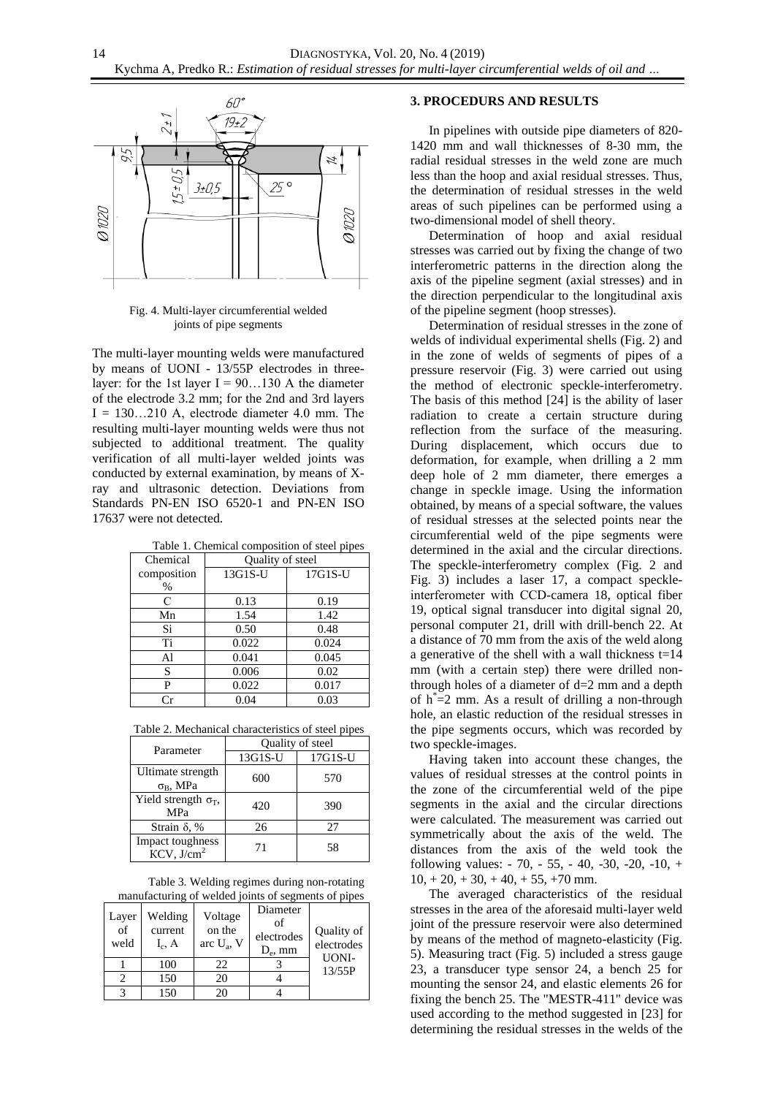

Fig. 4. Multi-layer circumferential welded joints of pipe segments

The multi-layer mounting welds were manufactured by means of UONI - 13/55P electrodes in threelayer: for the 1st layer  $I = 90...130$  A the diameter of the electrode 3.2 mm; for the 2nd and 3rd layers  $I = 130...210$  A, electrode diameter 4.0 mm. The resulting multi-layer mounting welds were thus not subjected to additional treatment. The quality verification of all multi-layer welded joints was conducted by external examination, by means of Xray and ultrasonic detection. Deviations from Standards PN-EN ISO 6520-1 and PN-EN ISO 17637 were not detected.

|          | Table 1. Chemical composition of steel pipes |
|----------|----------------------------------------------|
| Chemical | Quality of steel                             |

| Chemical    | Quality of steel |         |  |
|-------------|------------------|---------|--|
| composition | 13G1S-U          | 17G1S-U |  |
| $\%$        |                  |         |  |
| C           | 0.13             | 0.19    |  |
| Mn          | 1.54             | 1.42    |  |
| Si          | 0.50             | 0.48    |  |
| Ti          | 0.022            | 0.024   |  |
| Al          | 0.041            | 0.045   |  |
| S           | 0.006            | 0.02    |  |
| P           | 0.022            | 0.017   |  |
|             | 0.04             | 0.03    |  |

Table 2. Mechanical characteristics of steel pipes

| Parameter                                   | Quality of steel |         |  |
|---------------------------------------------|------------------|---------|--|
|                                             | 13G1S-U          | 17G1S-U |  |
| Ultimate strength<br>$\sigma_{\rm B}$ , MPa | 600              | 570     |  |
| Yield strength $\sigma_T$ ,<br><b>MPa</b>   | 420              | 390     |  |
| Strain $\delta$ , %                         | 26               | 27      |  |
| Impact toughness<br>KCV, J/cm <sup>2</sup>  | 71               | 58      |  |

Table 3. Welding regimes during non-rotating manufacturing of welded joints of segments of pipes

| Layer<br>of<br>weld | Welding<br>current<br>$I_c$ , A | Voltage<br>on the<br>arc $U_a$ , V | Diameter<br>of<br>electrodes<br>$D_e$ , mm | Quality of<br>electrodes<br>UONI- |
|---------------------|---------------------------------|------------------------------------|--------------------------------------------|-----------------------------------|
|                     | 100                             | 22                                 |                                            | 13/55P                            |
| 7                   | 150                             | 20                                 |                                            |                                   |
|                     | 150                             | ንበ                                 |                                            |                                   |

### **3. PROCEDURS AND RESULTS**

In pipelines with outside pipe diameters of 820- 1420 mm and wall thicknesses of 8-30 mm, the radial residual stresses in the weld zone are much less than the hoop and axial residual stresses. Thus, the determination of residual stresses in the weld areas of such pipelines can be performed using a two-dimensional model of shell theory.

Determination of hoop and axial residual stresses was carried out by fixing the change of two interferometric patterns in the direction along the axis of the pipeline segment (axial stresses) and in the direction perpendicular to the longitudinal axis of the pipeline segment (hoop stresses).

Determination of residual stresses in the zone of welds of individual experimental shells (Fig. 2) and in the zone of welds of segments of pipes of a pressure reservoir (Fig. 3) were carried out using the method of electronic speckle-interferometry. The basis of this method [24] is the ability of laser radiation to create a certain structure during reflection from the surface of the measuring. During displacement, which occurs due to deformation, for example, when drilling a 2 mm deep hole of 2 mm diameter, there emerges a change in speckle image. Using the information obtained, by means of a special software, the values of residual stresses at the selected points near the circumferential weld of the pipe segments were determined in the axial and the circular directions. The speckle-interferometry complex (Fig. 2 and Fig. 3) includes a laser 17, a compact speckleinterferometer with ССD-camera 18, optical fiber 19, optical signal transducer into digital signal 20, personal computer 21, drill with drill-bench 22. At a distance of 70 mm from the axis of the weld along a generative of the shell with a wall thickness  $t=14$ mm (with a certain step) there were drilled nonthrough holes of a diameter of  $d=2$  mm and a depth of  $h^*=2$  mm. As a result of drilling a non-through hole, an elastic reduction of the residual stresses in the pipe segments occurs, which was recorded by two speckle-images.

Having taken into account these changes, the values of residual stresses at the control points in the zone of the circumferential weld of the pipe segments in the axial and the circular directions were calculated. The measurement was carried out symmetrically about the axis of the weld. The distances from the axis of the weld took the following values: - 70, - 55, - 40, -30, -20, -10, +  $10 + 20 + 30 + 40 + 55 + 70$  mm.

The averaged characteristics of the residual stresses in the area of the aforesaid multi-layer weld joint of the pressure reservoir were also determined by means of the method of magneto-elasticity (Fig. 5). Measuring tract (Fig. 5) included a stress gauge 23, a transducer type sensor 24, a bench 25 for mounting the sensor 24, and elastic elements 26 for fixing the bench 25. The "MESTR-411" device was used according to the method suggested in [23] for determining the residual stresses in the welds of the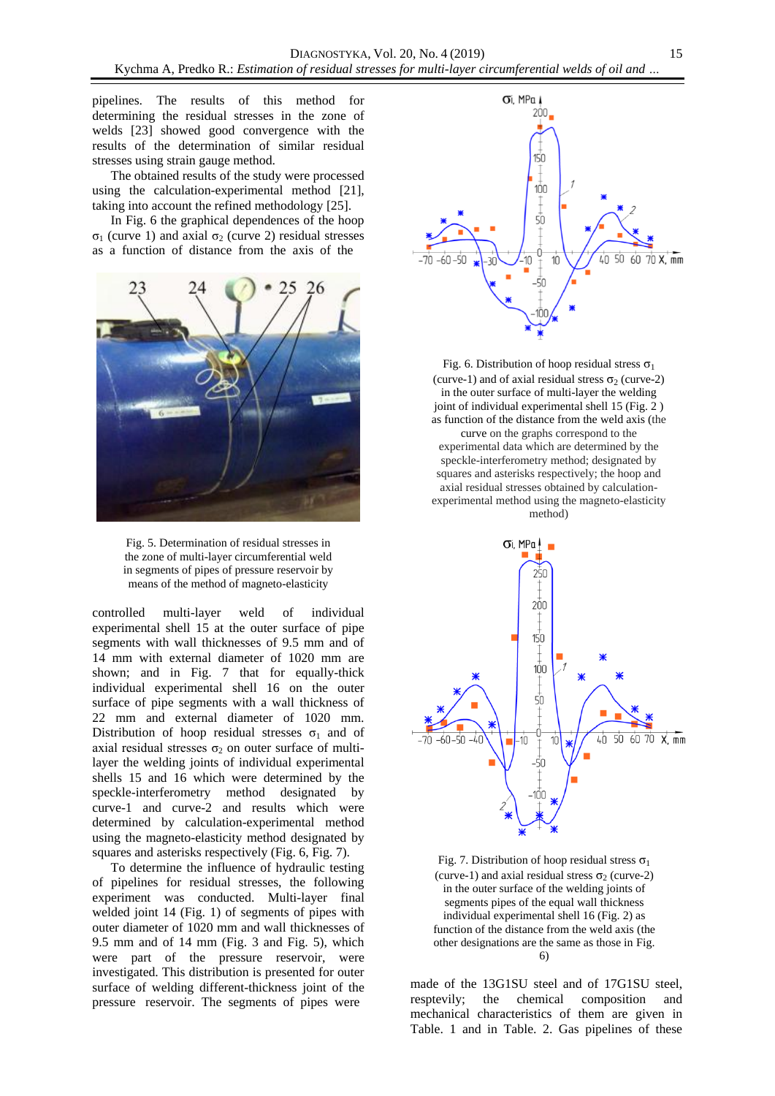pipelines. The results of this method for determining the residual stresses in the zone of welds [23] showed good convergence with the results of the determination of similar residual stresses using strain gauge method.

The obtained results of the study were processed using the calculation-experimental method [21], taking into account the refined methodology [25].

In Fig. 6 the graphical dependences of the hoop σ<sub>1</sub> (curve 1) and axial σ<sub>2</sub> (curve 2) residual stresses as a function of distance from the axis of the





controlled multi-layer weld of individual experimental shell 15 at the outer surface of pipe segments with wall thicknesses of 9.5 mm and of 14 mm with external diameter of 1020 mm are shown; and in Fig. 7 that for equally-thick individual experimental shell 16 on the outer surface of pipe segments with a wall thickness of 22 mm and external diameter of 1020 mm. Distribution of hoop residual stresses  $\sigma_1$  and of axial residual stresses  $\sigma_2$  on outer surface of multilayer the welding joints of individual experimental shells 15 and 16 which were determined by the speckle-interferometry method designated by curve-1 and curve-2 and results which were determined by calculation-experimental method using the magneto-elasticity method designated by squares and asterisks respectively (Fig. 6, Fig. 7).

To determine the influence of hydraulic testing of pipelines for residual stresses, the following experiment was conducted. Multi-layer final welded joint 14 (Fig. 1) of segments of pipes with outer diameter of 1020 mm and wall thicknesses of 9.5 mm and of 14 mm (Fig. 3 and Fig. 5), which were part of the pressure reservoir, were investigated. This distribution is presented for outer surface of welding different-thickness joint of the pressure reservoir. The segments of pipes were



Fig. 6. Distribution of hoop residual stress  $\sigma_1$ (curve-1) and of axial residual stress  $\sigma_2$  (curve-2) in the outer surface of multi-layer the welding joint of individual experimental shell 15 (Fig. 2 ) as function of the distance from the weld axis (the curve on the graphs correspond to the experimental data which are determined by the speckle-interferometry method; designated by squares and asterisks respectively; the hoop and axial residual stresses obtained by calculationexperimental method using the magneto-elasticity method)





made of the 13G1SU steel and of 17G1SU steel, resptevily; the chemical composition and mechanical characteristics of them are given in Table. 1 and in Table. 2. Gas pipelines of these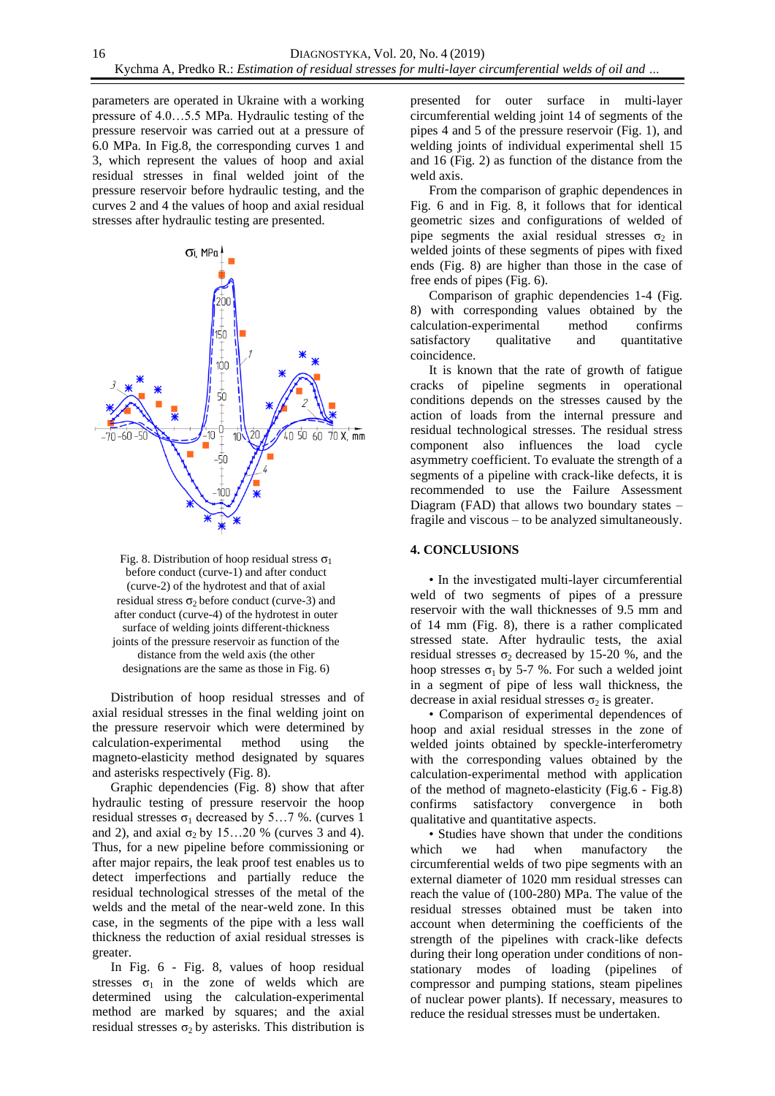parameters are operated in Ukraine with a working pressure of 4.0…5.5 MPa. Hydraulic testing of the pressure reservoir was carried out at a pressure of 6.0 MPa. In Fig.8, the corresponding curves 1 and 3, which represent the values of hoop and axial residual stresses in final welded joint of the pressure reservoir before hydraulic testing, and the curves 2 and 4 the values of hoop and axial residual stresses after hydraulic testing are presented.



Fig. 8. Distribution of hoop residual stress  $\sigma_1$ before conduct (curve-1) and after conduct (curve-2) of the hydrotest and that of axial residual stress  $\sigma_2$  before conduct (curve-3) and after conduct (curve-4) of the hydrotest in outer surface of welding joints different-thickness joints of the pressure reservoir as function of the distance from the weld axis (the other designations are the same as those in Fig. 6)

Distribution of hoop residual stresses and of axial residual stresses in the final welding joint on the pressure reservoir which were determined by calculation-experimental method using the magneto-elasticity method designated by squares and asterisks respectively (Fig. 8).

Graphic dependencies (Fig. 8) show that after hydraulic testing of pressure reservoir the hoop residual stresses  $σ_1$  decreased by 5...7 %. (curves 1 and 2), and axial  $\sigma_2$  by 15…20 % (curves 3 and 4). Thus, for a new pipeline before commissioning or after major repairs, the leak proof test enables us to detect imperfections and partially reduce the residual technological stresses of the metal of the welds and the metal of the near-weld zone. In this case, in the segments of the pipe with a less wall thickness the reduction of axial residual stresses is greater.

In Fig. 6 - Fig. 8, values of hoop residual stresses  $\sigma_1$  in the zone of welds which are determined using the calculation-experimental method are marked by squares; and the axial residual stresses  $σ<sub>2</sub>$  by asterisks. This distribution is

presented for outer surface in multi-layer circumferential welding joint 14 of segments of the pipes 4 and 5 of the pressure reservoir (Fig. 1), and welding joints of individual experimental shell 15 and 16 (Fig. 2) as function of the distance from the weld axis.

From the comparison of graphic dependences in Fig. 6 and in Fig. 8, it follows that for identical geometric sizes and configurations of welded of pipe segments the axial residual stresses  $\sigma_2$  in welded joints of these segments of pipes with fixed ends (Fig. 8) are higher than those in the case of free ends of pipes (Fig. 6).

Comparison of graphic dependencies 1-4 (Fig. 8) with corresponding values obtained by the calculation-experimental method confirms satisfactory qualitative and quantitative coincidence.

It is known that the rate of growth of fatigue cracks of pipeline segments in operational conditions depends on the stresses caused by the action of loads from the internal pressure and residual technological stresses. The residual stress component also influences the load cycle asymmetry coefficient. To evaluate the strength of a segments of a pipeline with crack-like defects, it is recommended to use the Failure Assessment Diagram (FAD) that allows two boundary states – fragile and viscous – to be analyzed simultaneously.

## **4. CONCLUSIONS**

• In the investigated multi-layer circumferential weld of two segments of pipes of a pressure reservoir with the wall thicknesses of 9.5 mm and of 14 mm (Fig. 8), there is a rather complicated stressed state. After hydraulic tests, the axial residual stresses  $\sigma_2$  decreased by 15-20 %, and the hoop stresses  $\sigma_1$  by 5-7 %. For such a welded joint in a segment of pipe of less wall thickness, the decrease in axial residual stresses  $\sigma_2$  is greater.

• Comparison of experimental dependences of hoop and axial residual stresses in the zone of welded joints obtained by speckle-interferometry with the corresponding values obtained by the calculation-experimental method with application of the method of magneto-elasticity (Fig.6 - Fig.8) confirms satisfactory convergence in both qualitative and quantitative aspects.

• Studies have shown that under the conditions which we had when manufactory the circumferential welds of two pipe segments with an external diameter of 1020 mm residual stresses can reach the value of (100-280) MPa. The value of the residual stresses obtained must be taken into account when determining the coefficients of the strength of the pipelines with crack-like defects during their long operation under conditions of nonstationary modes of loading (pipelines of compressor and pumping stations, steam pipelines of nuclear power plants). If necessary, measures to reduce the residual stresses must be undertaken.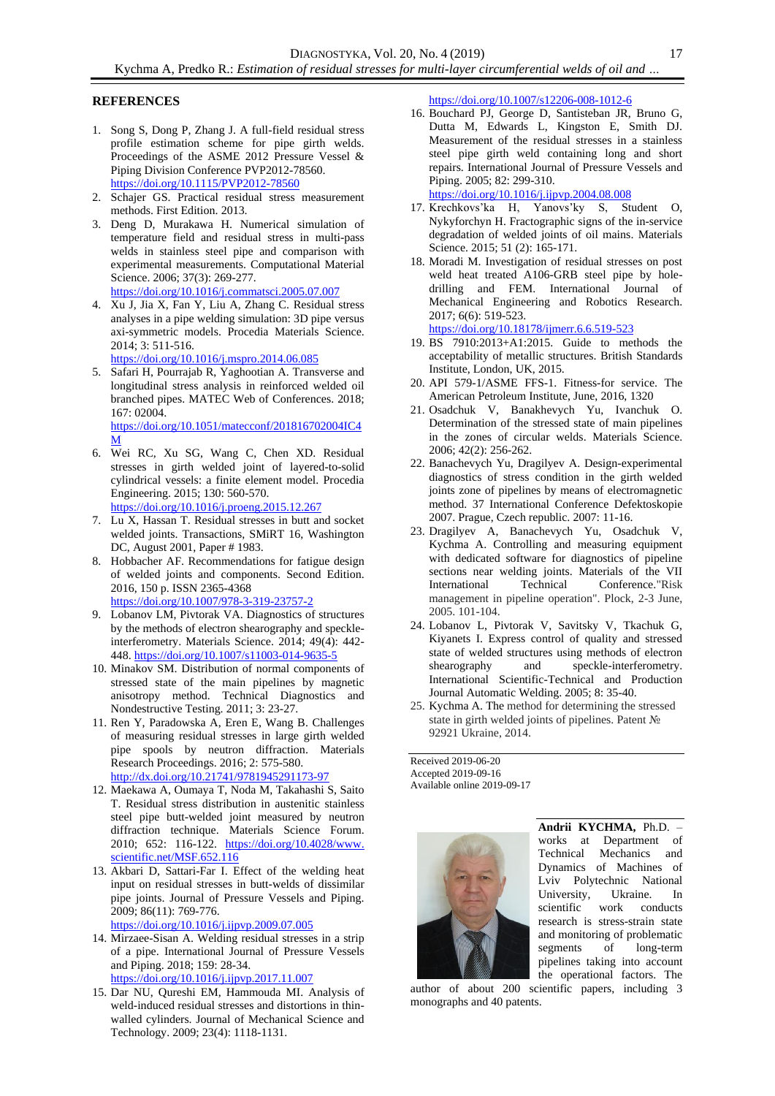### **REFERENCES**

- 1. Song S, Dong P, Zhang J. A full-field residual stress profile estimation scheme for pipe girth welds. Proceedings of the ASME 2012 Pressure Vessel & Piping Division Conference PVP2012-78560. <https://doi.org/10.1115/PVP2012-78560>
- 2. Schajer GS. Practical residual stress measurement methods. First Edition. 2013.
- 3. Deng D, Murakawa H. Numerical simulation of temperature field and residual stress in multi-pass welds in stainless steel pipe and comparison with experimental measurements. Computational Material Science. 2006; 37(3): 269-277. <https://doi.org/10.1016/j.commatsci.2005.07.007>
- 4. Xu J, Jia X, Fan Y, Liu A, Zhang C. Residual stress analyses in a pipe welding simulation: 3D pipe versus axi-symmetric models. Procedia Materials Science. 2014; 3: 511-516. <https://doi.org/10.1016/j.mspro.2014.06.085>
- 5. Safari H, Pourrajab R, Yaghootian A. Transverse and longitudinal stress analysis in reinforced welded oil branched pipes. MATEC Web of Conferences. 2018; 167: 02004. [https://doi.org/10.1051/matecconf/201816702004IC4](https://doi.org/10.1051/matecconf/201816702004IC4M) [M](https://doi.org/10.1051/matecconf/201816702004IC4M)
- 6. Wei RC, Xu SG, Wang C, Chen XD. Residual stresses in girth welded joint of layered-to-solid cylindrical vessels: a finite element model. Procedia Engineering. 2015; 130: 560-570. <https://doi.org/10.1016/j.proeng.2015.12.267>
- 7. Lu X, Hassan T. Residual stresses in butt and socket welded joints. Transactions, SMiRT 16, Washington DC, August 2001, Paper # 1983.
- 8. Hobbacher AF. Recommendations for fatigue design of welded joints and components. Second Edition. 2016, 150 p. ISSN 2365-4368 <https://doi.org/10.1007/978-3-319-23757-2>
- 9. Lobanov LM, Pivtorak VA. Diagnostics of structures by the methods of electron shearography and speckleinterferometry. Materials Science. 2014; 49(4): 442- 448. <https://doi.org/10.1007/s11003-014-9635-5>
- 10. Minakov SM. Distribution of normal components of stressed state of the main pipelines by magnetic anisotropy method. Technical Diagnostics and Nondestructive Testing. 2011; 3: 23-27.
- 11. Ren Y, Paradowska A, Eren E, Wang B. Challenges of measuring residual stresses in large girth welded pipe spools by neutron diffraction. Materials Research Proceedings. 2016; 2: 575-580. <http://dx.doi.org/10.21741/9781945291173-97>
- 12. Maekawa A, Oumaya T, Noda M, Takahashi S, Saito T. Residual stress distribution in austenitic stainless steel pipe butt-welded joint measured by neutron diffraction technique. Materials Science Forum. 2010; 652: 116-122. [https://doi.org/10.4028/www.](https://doi.org/10.4028/www.scientific.net/MSF.652.116) [scientific.net/MSF.652.116](https://doi.org/10.4028/www.scientific.net/MSF.652.116)
- 13. Akbari D, Sattari-Far I. Effect of the welding heat input on residual stresses in butt-welds of dissimilar pipe joints. Journal of Pressure Vessels and Piping. 2009; 86(11): 769-776.
	- <https://doi.org/10.1016/j.ijpvp.2009.07.005>
- 14. Mirzaee-Sisan A. Welding residual stresses in a strip of a pipe. International Journal of Pressure Vessels and Piping. 2018; 159: 28-34. <https://doi.org/10.1016/j.ijpvp.2017.11.007>
- 15. Dar NU, Qureshi EM, Hammouda MI. Analysis of weld-induced residual stresses and distortions in thinwalled cylinders. Journal of Mechanical Science and Technology. 2009; 23(4): 1118-1131.

<https://doi.org/10.1007/s12206-008-1012-6>

16. Bouchard PJ, George D, Santisteban JR, Bruno G, Dutta M, Edwards L, Kingston E, Smith DJ. Measurement of the residual stresses in a stainless steel pipe girth weld containing long and short repairs. International Journal of Pressure Vessels and Piping. 2005; 82: 299-310.

<https://doi.org/10.1016/j.ijpvp.2004.08.008>

- 17. [Krechkovs'ka](http://link.springer.com/search?facet-author=%22H.+V.+Krechkovs%E2%80%99ka%22) H, Yanovs'ky S, [Student](http://link.springer.com/search?facet-author=%22O.+Z.+Student%22) O, [Nykyforchyn](http://link.springer.com/search?facet-author=%22H.+M.+Nykyforchyn%22) H. Fractographic signs of the in-service degradation of welded joints of oil mains. Materials Science. 2015; 51 (2): 165-171.
- 18. Moradi M. Investigation of residual stresses on post weld heat treated A106-GRB steel pipe by holedrilling and FEM. International Journal of Mechanical Engineering and Robotics Research. 2017; 6(6): 519-523.

<https://doi.org/10.18178/ijmerr.6.6.519-523>

- 19. BS 7910:2013+A1:2015. Guide to methods the acceptability of metallic structures. British Standards Institute, London, UK, 2015.
- 20. API 579-1/ASME FFS-1. Fitness-for service. The American Petroleum Institute, June, 2016, 1320
- 21. [Osadchuk V, Banakhevych Yu, Ivanchuk](http://pcmm.ipm.lviv.ua/pcmm-2006-2e.htm) O. [Determination of the stressed state of main pipelines](http://pcmm.ipm.lviv.ua/pcmm-2006-2e.htm)  [in the zones of circular welds.](http://pcmm.ipm.lviv.ua/pcmm-2006-2e.htm) Materials Science. 2006; 42(2): 256-262.
- 22. Banachevych Yu, Dragilyev A. Design-experimental diagnostics of stress condition in the girth welded joints zone of pipelines by means of electromagnetic method. 37 International Conference Defektoskopie 2007. Prague, Czech republic. 2007: 11-16.
- 23. Dragilyev A, Banachevych Yu, Osadchuk V, Kychma A. Controlling and measuring equipment with dedicated software for diagnostics of pipeline sections near welding joints. Materials of the VII International Technical Conference."Risk management in pipeline operation". Plock, 2-3 June, 2005. 101-104.
- 24. Lobanov L, Pivtorak V, Savitsky V, Tkachuk G, Kiyanets I. Express control of quality and stressed state of welded structures using methods of electron shearography and speckle-interferometry. International Scientific-Technical and Production Journal Automatic Welding. 2005; 8: 35-40.
- 25. Kychma A. The method for determining the stressed state in girth welded joints of pipelines. Patent № 92921 Ukraine, 2014.

Received 2019-06-20 Accepted 2019-09-16 Available online 2019-09-17



**Andrii KYCHMA,** Ph.D. – works at Department of Technical Mechanics and Dynamics of Machines of Lviv Polytechnic National University, Ukraine. In scientific work conducts research is stress-strain state and monitoring of problematic segments of long-term pipelines taking into account the operational factors. The

author of about 200 scientific papers, including 3 monographs and 40 patents.